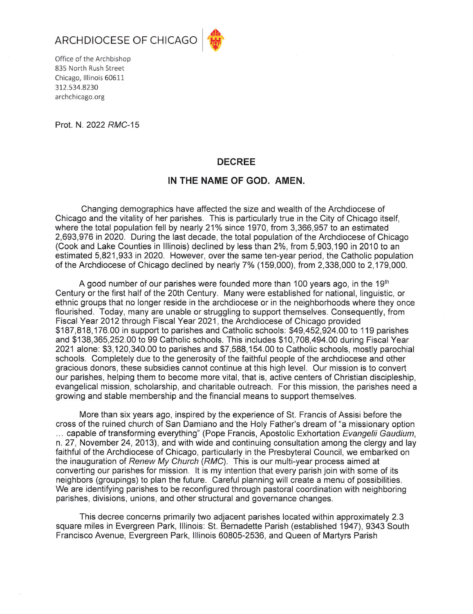



Office of the Archbishop 835 North Rush Street Chicago, Illinois 60611 312.534.8230 archchicago.org

Prot. N. 2022 RMC-15

## **DECREE**

## IN THE NAME OF GOD. AMEN.

Changing demographics have affected the size and wealth of the Archdiocese of Chicago and the vitality of her parishes. This is particularly true in the City of Chicago itself. where the total population fell by nearly 21% since 1970, from 3,366,957 to an estimated 2,693,976 in 2020. During the last decade, the total population of the Archdiocese of Chicago (Cook and Lake Counties in Illinois) declined by less than 2%, from 5,903,190 in 2010 to an estimated 5,821,933 in 2020. However, over the same ten-vear period, the Catholic population of the Archdiocese of Chicago declined by nearly 7% (159,000), from 2,338,000 to 2,179,000.

A good number of our parishes were founded more than 100 years ago, in the 19<sup>th</sup> Century or the first half of the 20th Century. Many were established for national, linguistic, or ethnic groups that no longer reside in the archdiocese or in the neighborhoods where they once flourished. Today, many are unable or struggling to support themselves. Consequently, from Fiscal Year 2012 through Fiscal Year 2021, the Archdiocese of Chicago provided \$187,818,176.00 in support to parishes and Catholic schools: \$49,452,924.00 to 119 parishes and \$138,365,252.00 to 99 Catholic schools. This includes \$10,708,494.00 during Fiscal Year 2021 alone: \$3,120,340.00 to parishes and \$7,588,154.00 to Catholic schools, mostly parochial schools. Completely due to the generosity of the faithful people of the archdiocese and other gracious donors, these subsidies cannot continue at this high level. Our mission is to convert our parishes, helping them to become more vital, that is, active centers of Christian discipleship, evangelical mission, scholarship, and charitable outreach. For this mission, the parishes need a growing and stable membership and the financial means to support themselves.

More than six years ago, inspired by the experience of St. Francis of Assisi before the cross of the ruined church of San Damiano and the Holy Father's dream of "a missionary option ... capable of transforming everything" (Pope Francis, Apostolic Exhortation Evangelii Gaudium, n. 27, November 24, 2013), and with wide and continuing consultation among the clergy and lay faithful of the Archdiocese of Chicago, particularly in the Presbyteral Council, we embarked on the inauguration of Renew My Church (RMC). This is our multi-year process aimed at converting our parishes for mission. It is my intention that every parish join with some of its neighbors (groupings) to plan the future. Careful planning will create a menu of possibilities. We are identifying parishes to be reconfigured through pastoral coordination with neighboring parishes, divisions, unions, and other structural and governance changes.

This decree concerns primarily two adjacent parishes located within approximately 2.3 square miles in Evergreen Park, Illinois: St. Bernadette Parish (established 1947), 9343 South Francisco Avenue, Evergreen Park, Illinois 60805-2536, and Queen of Martyrs Parish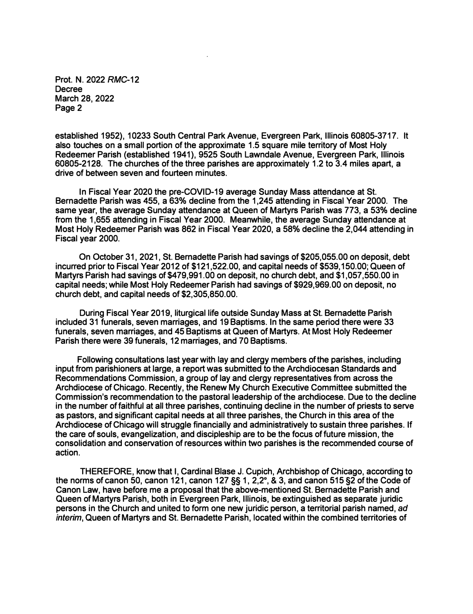**Prot. N. 2022 RMC-12 Decree March 28, 2022 Page 2** 

**established 1952), 10233 South Central Park Avenue, Evergreen Park, Illinois 60805-3717. It also touches on a small portion of the approximate 1.5 square mile territory of Most Holy Redeemer Parish (established 1941), 9525 South Lawndale Avenue, Evergreen Park, Illinois 60805-2128. The churches of the three parishes are approximately 1.2 to 3.4 miles apart, a drive of between seven and fourteen minutes.** 

**In Fiscal Year 2020 the pre-COVID-19 average Sunday Mass attendance at St. Bernadette Parish was 455, a 63% decline from the 1,245 attending in Fiscal Year 2000. The same year, the average Sunday attendance at Queen of Martyrs Parish was 773, a 53% decline from the 1,655 attending in Fiscal Year 2000. Meanwhile, the average Sunday attendance at Most Holy Redeemer Parish was 862 in Fiscal Year 2020, a 58% decline the 2,044 attending in Fiscal year 2000.** 

**On October 31, 2021, St. Bernadette Parish had savings of \$205,055.00 on deposit, debt incurred prior to Fiscal Year 2012 of \$121,522.00, and capital needs of \$539,150.00; Queen of Martyrs Parish had savings of \$479,991.00 on deposit, no church debt, and \$1,057,550.00 in capital needs; while Most Holy Redeemer Parish had savings of \$929,969.00 on deposit, no church debt, and capital needs of \$2,305,850.00.** 

**During Fiscal Year 2019, liturgical life outside Sunday Mass at St. Bernadette Parish included 31 funerals, seven marriages, and 19 Baptisms. In the same period there were 33 funerals, seven marriages, and 45 Baptisms at Queen of Martyrs. At Most Holy Redeemer Parish there were 39 funerals, 12 marriages, and 70 Baptisms.** 

**Following consultations last year with lay and clergy members of the parishes, including input from parishioners at large, a report was submitted to the Archdiocesan Standards and Recommendations Commission, a group of lay and clergy representatives from across the Archdiocese of Chicago. Recently, the Renew My Church Executive Committee submitted the Commission's recommendation to the pastoral leadership of the archdiocese. Due to the decline in the number of faithful at all three parishes, continuing decline in the number of priests to serve as pastors, and significant capital needs at all three parishes, the Church in this area of the Archdiocese of Chicago will struggle financially and administratively to sustain three parishes. If the care of souls, evangelization, and discipleship are to be the focus of future mission, the consolidation and conservation of resources within two parishes is the recommended course of action.** 

**THEREFORE, know that I, Cardinal Blase J. Cupich, Archbishop of Chicago, according to the norms of canon 50, canon 121, canon 127 §§ 1, 2,2° , & 3, and canon 515 §2 of the Code of Canon Law, have before me a proposal that the above-mentioned St. Bernadette Parish and Queen of Martyrs Parish, both in Evergreen Park, Illinois, be extinguished as separate juridic persons in the Church and united to form one new juridic person, a territorial parish named,** *ad interim,* **Queen of Martyrs and St. Bernadette Parish, located within the combined territories of**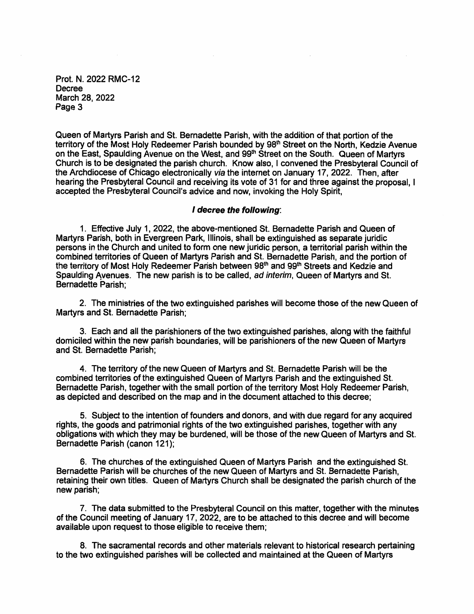Prot. N. 2022 RMC-12 Decree March 28, 2022 Page 3

Queen of Martyrs Parish and St. Bernadette Parish, with the addition of that portion of the territory of the Most Holy Redeemer Parish bounded by 98<sup>th</sup> Street on the North, Kedzie Avenue on the East, Spaulding Avenue on the West, and 99<sup>th</sup> Street on the South. Queen of Martyrs Church is to be designated the parish church. Know also, I convened the Presbyteral Council of the Archdiocese of Chicago electronically via the internet on January 17, 2022. Then, after hearing the Presbyteral Council and receiving its vote of 31 for and three against the proposal. I accepted the Presbyteral Council's advice and now, invoking the Holy Spirit.

## I decree the following:

1. Effective July 1, 2022, the above-mentioned St. Bernadette Parish and Queen of Martyrs Parish, both in Evergreen Park, Illinois, shall be extinguished as separate juridic persons in the Church and united to form one new juridic person, a territorial parish within the combined territories of Queen of Martyrs Parish and St. Bernadette Parish, and the portion of the territory of Most Holy Redeemer Parish between 98th and 99th Streets and Kedzie and Spaulding Avenues. The new parish is to be called, ad interim, Queen of Martyrs and St. Bernadette Parish:

2. The ministries of the two extinguished parishes will become those of the new Queen of Martyrs and St. Bernadette Parish;

3. Each and all the parishioners of the two extinguished parishes, along with the faithful domiciled within the new parish boundaries, will be parishioners of the new Queen of Martyrs and St. Bernadette Parish:

4. The territory of the new Queen of Martyrs and St. Bernadette Parish will be the combined territories of the extinguished Queen of Martyrs Parish and the extinguished St. Bernadette Parish, together with the small portion of the territory Most Holy Redeemer Parish. as depicted and described on the map and in the document attached to this decree;

5. Subject to the intention of founders and donors, and with due regard for any acquired rights, the goods and patrimonial rights of the two extinguished parishes, together with any obligations with which they may be burdened, will be those of the new Queen of Martyrs and St. Bernadette Parish (canon 121):

6. The churches of the extinguished Queen of Martyrs Parish and the extinguished St. Bernadette Parish will be churches of the new Queen of Martyrs and St. Bernadette Parish. retaining their own titles. Queen of Martyrs Church shall be designated the parish church of the new parish;

7. The data submitted to the Presbyteral Council on this matter, together with the minutes of the Council meeting of January 17, 2022, are to be attached to this decree and will become available upon request to those eligible to receive them;

8. The sacramental records and other materials relevant to historical research pertaining to the two extinguished parishes will be collected and maintained at the Queen of Martyrs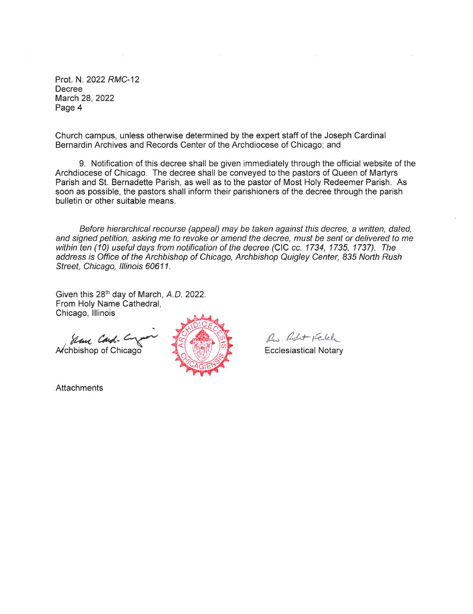Prot. N. 2022 RMC-12 Decree March 28, 2022 Page 4

Church campus, unless otherwise determined by the expert staff of the Joseph Cardinal Bernardin Archives and Records Center of the Archdiocese of Chicago; and

9. Notification of this decree shall be given immediately through the official website of the Archdiocese of Chicago. The decree shall be conveyed to the pastors of Queen of Martyrs Parish and St. Bernadette Parish, as well as to the pastor of Most Holy Redeemer Parish. As soon as possible, the pastors shall inform their parishioners of the decree through the parish bulletin or other suitable means.

Before hierarchical recourse (appeal) may be taken against this decree, a written, dated, and signed petition, asking me to revoke or amend the decree, must be sent or delivered to me within ten (10) useful days from notification of the decree (CIC cc. 1734, 1735, 1737). The address is Office of the Archbishop of Chicago, Archbishop Quigley Center, 835 North Rush Street, Chicago, Illinois 60611.

Given this 28<sup>th</sup> day of March, A.D. 2022. From Holy Name Cathedral, Chicago, Illinois

Slan Card .-Archbishop of Chicago



R. Robert Kelely

**Ecclesiastical Notary** 

**Attachments**